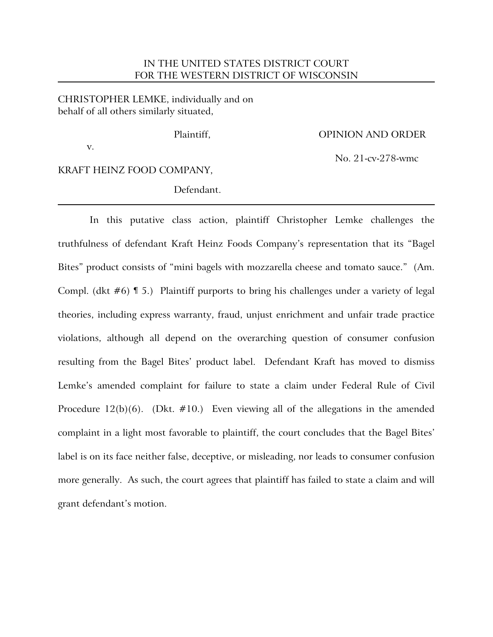# IN THE UNITED STATES DISTRICT COURT FOR THE WESTERN DISTRICT OF WISCONSIN

## CHRISTOPHER LEMKE, individually and on behalf of all others similarly situated,

v.

### Plaintiff, OPINION AND ORDER

No. 21-cv-278-wmc

KRAFT HEINZ FOOD COMPANY,

### Defendant.

In this putative class action, plaintiff Christopher Lemke challenges the truthfulness of defendant Kraft Heinz Foods Company's representation that its "Bagel Bites" product consists of "mini bagels with mozzarella cheese and tomato sauce." (Am. Compl. (dkt #6) ¶ 5.) Plaintiff purports to bring his challenges under a variety of legal theories, including express warranty, fraud, unjust enrichment and unfair trade practice violations, although all depend on the overarching question of consumer confusion resulting from the Bagel Bites' product label. Defendant Kraft has moved to dismiss Lemke's amended complaint for failure to state a claim under Federal Rule of Civil Procedure  $12(b)(6)$ . (Dkt. #10.) Even viewing all of the allegations in the amended complaint in a light most favorable to plaintiff, the court concludes that the Bagel Bites' label is on its face neither false, deceptive, or misleading, nor leads to consumer confusion more generally. As such, the court agrees that plaintiff has failed to state a claim and will grant defendant's motion.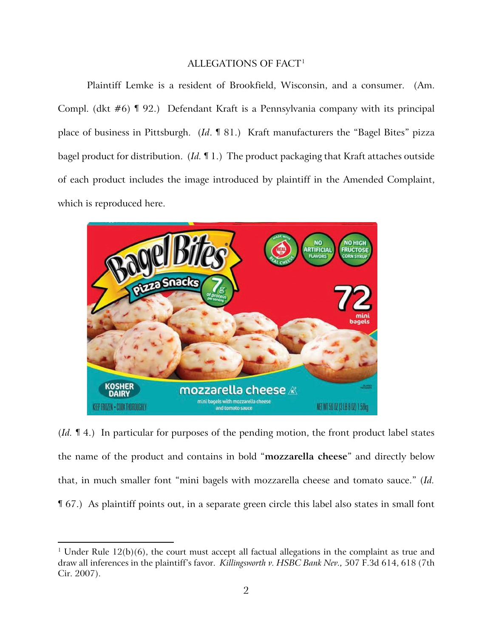## ALLEGATIONS OF FACT1

Plaintiff Lemke is a resident of Brookfield, Wisconsin, and a consumer. (Am. Compl. (dkt #6) ¶ 92.) Defendant Kraft is a Pennsylvania company with its principal place of business in Pittsburgh. (*Id*. ¶ 81.) Kraft manufacturers the "Bagel Bites" pizza bagel product for distribution. (*Id.* ¶ 1.) The product packaging that Kraft attaches outside of each product includes the image introduced by plaintiff in the Amended Complaint, which is reproduced here.



(*Id.* ¶ 4.) In particular for purposes of the pending motion, the front product label states the name of the product and contains in bold "**mozzarella cheese**" and directly below that, in much smaller font "mini bagels with mozzarella cheese and tomato sauce." (*Id.* ¶ 67.) As plaintiff points out, in a separate green circle this label also states in small font

<sup>&</sup>lt;sup>1</sup> Under Rule  $12(b)(6)$ , the court must accept all factual allegations in the complaint as true and draw all inferences in the plaintiff's favor. *Killingsworth v. HSBC Bank Nev.,* 507 F.3d 614, 618 (7th Cir. 2007).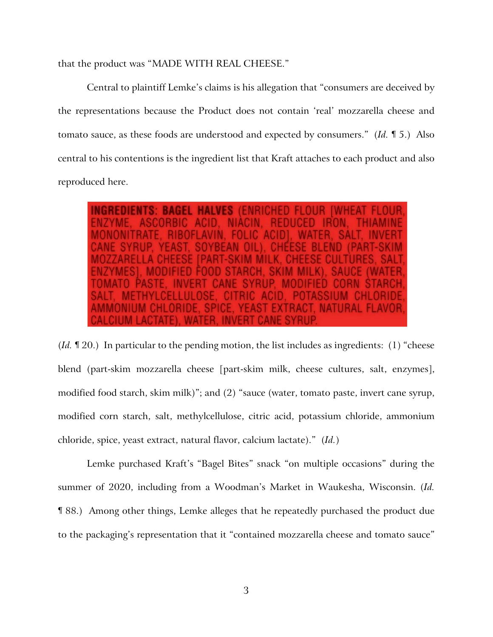that the product was "MADE WITH REAL CHEESE."

Central to plaintiff Lemke's claims is his allegation that "consumers are deceived by the representations because the Product does not contain 'real' mozzarella cheese and tomato sauce, as these foods are understood and expected by consumers." (*Id.* ¶ 5.) Also central to his contentions is the ingredient list that Kraft attaches to each product and also reproduced here.

(*Id.* ¶ 20.) In particular to the pending motion, the list includes as ingredients: (1) "cheese blend (part-skim mozzarella cheese [part-skim milk, cheese cultures, salt, enzymes], modified food starch, skim milk)"; and (2) "sauce (water, tomato paste, invert cane syrup, modified corn starch, salt, methylcellulose, citric acid, potassium chloride, ammonium chloride, spice, yeast extract, natural flavor, calcium lactate)." (*Id.*)

Lemke purchased Kraft's "Bagel Bites" snack "on multiple occasions" during the summer of 2020, including from a Woodman's Market in Waukesha, Wisconsin. (*Id.* ¶ 88.) Among other things, Lemke alleges that he repeatedly purchased the product due to the packaging's representation that it "contained mozzarella cheese and tomato sauce"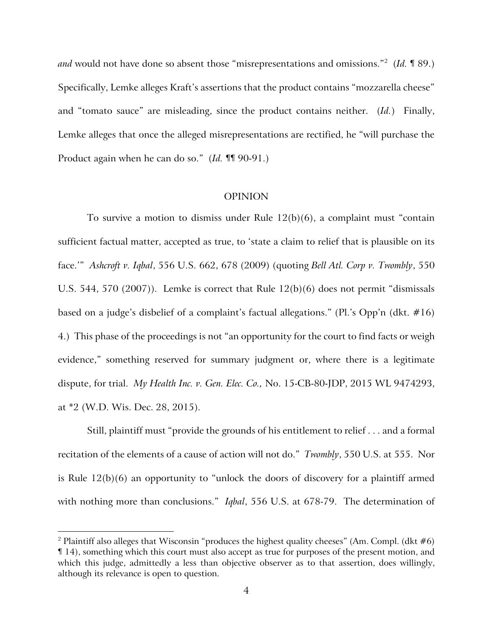*and* would not have done so absent those "misrepresentations and omissions."2 (*Id.* ¶ 89.) Specifically, Lemke alleges Kraft's assertions that the product contains "mozzarella cheese" and "tomato sauce" are misleading, since the product contains neither. (*Id.*) Finally, Lemke alleges that once the alleged misrepresentations are rectified, he "will purchase the Product again when he can do so." (*Id.* ¶¶ 90-91.)

#### OPINION

To survive a motion to dismiss under Rule  $12(b)(6)$ , a complaint must "contain" sufficient factual matter, accepted as true, to 'state a claim to relief that is plausible on its face.'" *Ashcroft v. Iqbal*, 556 U.S. 662, 678 (2009) (quoting *Bell Atl. Corp v. Twombly*, 550 U.S. 544, 570 (2007)). Lemke is correct that Rule 12(b)(6) does not permit "dismissals based on a judge's disbelief of a complaint's factual allegations." (Pl.'s Opp'n (dkt. #16) 4.) This phase of the proceedings is not "an opportunity for the court to find facts or weigh evidence," something reserved for summary judgment or, where there is a legitimate dispute, for trial. *My Health Inc. v. Gen. Elec. Co.,* No. 15-CB-80-JDP, 2015 WL 9474293, at \*2 (W.D. Wis. Dec. 28, 2015).

Still, plaintiff must "provide the grounds of his entitlement to relief . . . and a formal recitation of the elements of a cause of action will not do." *Twombly*, 550 U.S. at 555. Nor is Rule 12(b)(6) an opportunity to "unlock the doors of discovery for a plaintiff armed with nothing more than conclusions." *Iqbal*, 556 U.S. at 678-79. The determination of

<sup>&</sup>lt;sup>2</sup> Plaintiff also alleges that Wisconsin "produces the highest quality cheeses" (Am. Compl. (dkt  $#6$ ) ¶ 14), something which this court must also accept as true for purposes of the present motion, and which this judge, admittedly a less than objective observer as to that assertion, does willingly, although its relevance is open to question.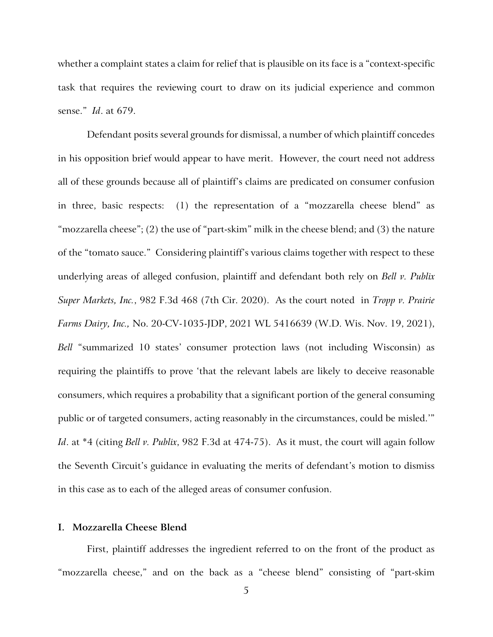whether a complaint states a claim for relief that is plausible on its face is a "context-specific task that requires the reviewing court to draw on its judicial experience and common sense." *Id*. at 679.

Defendant posits several grounds for dismissal, a number of which plaintiff concedes in his opposition brief would appear to have merit. However, the court need not address all of these grounds because all of plaintiff's claims are predicated on consumer confusion in three, basic respects: (1) the representation of a "mozzarella cheese blend" as "mozzarella cheese"; (2) the use of "part-skim" milk in the cheese blend; and (3) the nature of the "tomato sauce." Considering plaintiff's various claims together with respect to these underlying areas of alleged confusion, plaintiff and defendant both rely on *Bell v. Publix Super Markets, Inc.*, 982 F.3d 468 (7th Cir. 2020). As the court noted in *Tropp v. Prairie Farms Dairy, Inc.,* No. 20-CV-1035-JDP, 2021 WL 5416639 (W.D. Wis. Nov. 19, 2021), *Bell* "summarized 10 states' consumer protection laws (not including Wisconsin) as requiring the plaintiffs to prove 'that the relevant labels are likely to deceive reasonable consumers, which requires a probability that a significant portion of the general consuming public or of targeted consumers, acting reasonably in the circumstances, could be misled.'" *Id*. at \*4 (citing *Bell v. Publix*, 982 F.3d at 474-75). As it must, the court will again follow the Seventh Circuit's guidance in evaluating the merits of defendant's motion to dismiss in this case as to each of the alleged areas of consumer confusion.

### **I. Mozzarella Cheese Blend**

First, plaintiff addresses the ingredient referred to on the front of the product as "mozzarella cheese," and on the back as a "cheese blend" consisting of "part-skim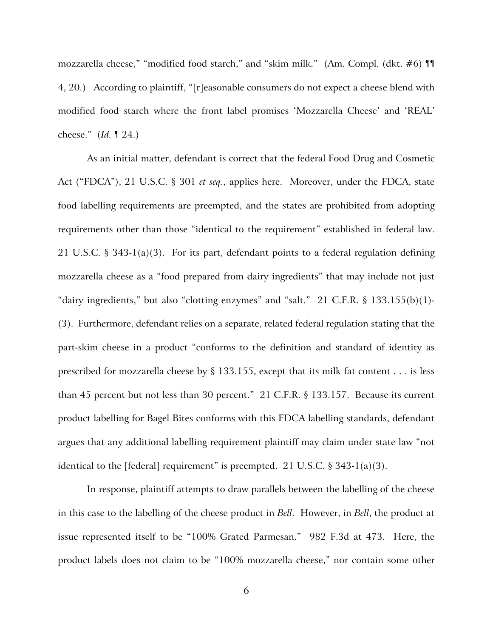mozzarella cheese," "modified food starch," and "skim milk." (Am. Compl. (dkt. #6) ¶¶ 4, 20.) According to plaintiff, "[r]easonable consumers do not expect a cheese blend with modified food starch where the front label promises 'Mozzarella Cheese' and 'REAL' cheese." (*Id.* ¶ 24.)

As an initial matter, defendant is correct that the federal Food Drug and Cosmetic Act ("FDCA"), 21 U.S.C. § 301 *et seq.*, applies here. Moreover, under the FDCA, state food labelling requirements are preempted, and the states are prohibited from adopting requirements other than those "identical to the requirement" established in federal law. 21 U.S.C. § 343-1(a)(3). For its part, defendant points to a federal regulation defining mozzarella cheese as a "food prepared from dairy ingredients" that may include not just "dairy ingredients," but also "clotting enzymes" and "salt."  $21$  C.F.R. § 133.155(b)(1)-(3). Furthermore, defendant relies on a separate, related federal regulation stating that the part-skim cheese in a product "conforms to the definition and standard of identity as prescribed for mozzarella cheese by § 133.155, except that its milk fat content . . . is less than 45 percent but not less than 30 percent." 21 C.F.R. § 133.157. Because its current product labelling for Bagel Bites conforms with this FDCA labelling standards, defendant argues that any additional labelling requirement plaintiff may claim under state law "not identical to the [federal] requirement" is preempted. 21 U.S.C.  $\S$  343-1(a)(3).

In response, plaintiff attempts to draw parallels between the labelling of the cheese in this case to the labelling of the cheese product in *Bell*. However, in *Bell*, the product at issue represented itself to be "100% Grated Parmesan." 982 F.3d at 473. Here, the product labels does not claim to be "100% mozzarella cheese," nor contain some other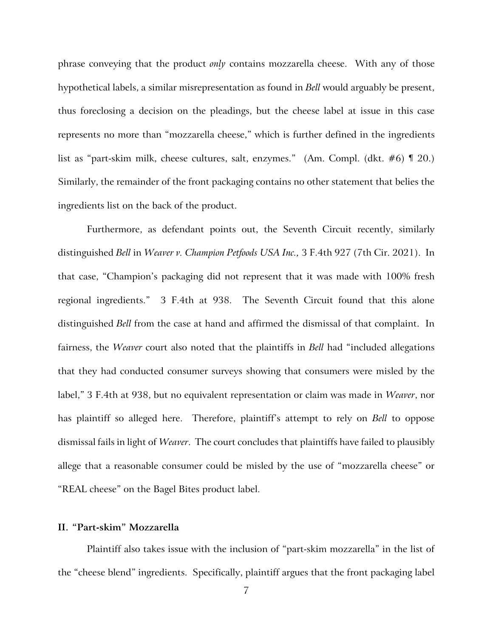phrase conveying that the product *only* contains mozzarella cheese. With any of those hypothetical labels, a similar misrepresentation as found in *Bell* would arguably be present, thus foreclosing a decision on the pleadings, but the cheese label at issue in this case represents no more than "mozzarella cheese," which is further defined in the ingredients list as "part-skim milk, cheese cultures, salt, enzymes." (Am. Compl. (dkt. #6) ¶ 20.) Similarly, the remainder of the front packaging contains no other statement that belies the ingredients list on the back of the product.

Furthermore, as defendant points out, the Seventh Circuit recently, similarly distinguished *Bell* in *Weaver v. Champion Petfoods USA Inc.,* 3 F.4th 927 (7th Cir. 2021). In that case, "Champion's packaging did not represent that it was made with 100% fresh regional ingredients." 3 F.4th at 938. The Seventh Circuit found that this alone distinguished *Bell* from the case at hand and affirmed the dismissal of that complaint. In fairness, the *Weaver* court also noted that the plaintiffs in *Bell* had "included allegations that they had conducted consumer surveys showing that consumers were misled by the label," 3 F.4th at 938, but no equivalent representation or claim was made in *Weaver*, nor has plaintiff so alleged here. Therefore, plaintiff's attempt to rely on *Bell* to oppose dismissal fails in light of *Weaver*. The court concludes that plaintiffs have failed to plausibly allege that a reasonable consumer could be misled by the use of "mozzarella cheese" or "REAL cheese" on the Bagel Bites product label.

### **II. "Part-skim" Mozzarella**

Plaintiff also takes issue with the inclusion of "part-skim mozzarella" in the list of the "cheese blend" ingredients. Specifically, plaintiff argues that the front packaging label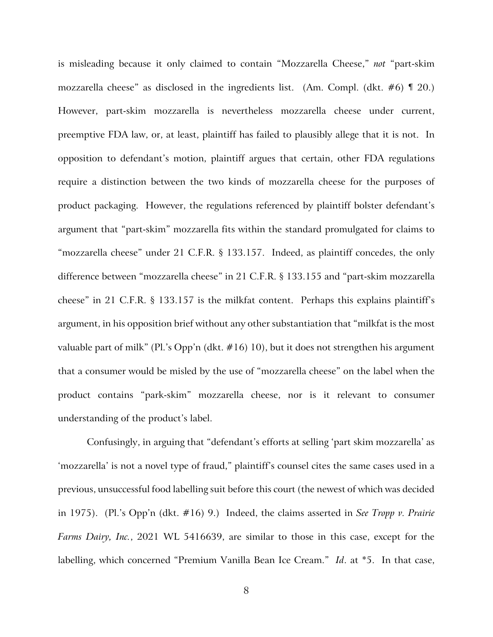is misleading because it only claimed to contain "Mozzarella Cheese," *not* "part-skim mozzarella cheese" as disclosed in the ingredients list. (Am. Compl. (dkt.  $\#6$ )  $\lll$  20.) However, part-skim mozzarella is nevertheless mozzarella cheese under current, preemptive FDA law, or, at least, plaintiff has failed to plausibly allege that it is not. In opposition to defendant's motion, plaintiff argues that certain, other FDA regulations require a distinction between the two kinds of mozzarella cheese for the purposes of product packaging. However, the regulations referenced by plaintiff bolster defendant's argument that "part-skim" mozzarella fits within the standard promulgated for claims to "mozzarella cheese" under 21 C.F.R. § 133.157. Indeed, as plaintiff concedes, the only difference between "mozzarella cheese" in 21 C.F.R. § 133.155 and "part-skim mozzarella cheese" in 21 C.F.R. § 133.157 is the milkfat content. Perhaps this explains plaintiff's argument, in his opposition brief without any other substantiation that "milkfat is the most valuable part of milk" (Pl.'s Opp'n (dkt. #16) 10), but it does not strengthen his argument that a consumer would be misled by the use of "mozzarella cheese" on the label when the product contains "park-skim" mozzarella cheese, nor is it relevant to consumer understanding of the product's label.

Confusingly, in arguing that "defendant's efforts at selling 'part skim mozzarella' as 'mozzarella' is not a novel type of fraud," plaintiff's counsel cites the same cases used in a previous, unsuccessful food labelling suit before this court (the newest of which was decided in 1975). (Pl.'s Opp'n (dkt. #16) 9.) Indeed, the claims asserted in *See Tropp v. Prairie Farms Dairy, Inc.*, 2021 WL 5416639, are similar to those in this case, except for the labelling, which concerned "Premium Vanilla Bean Ice Cream." *Id*. at \*5. In that case,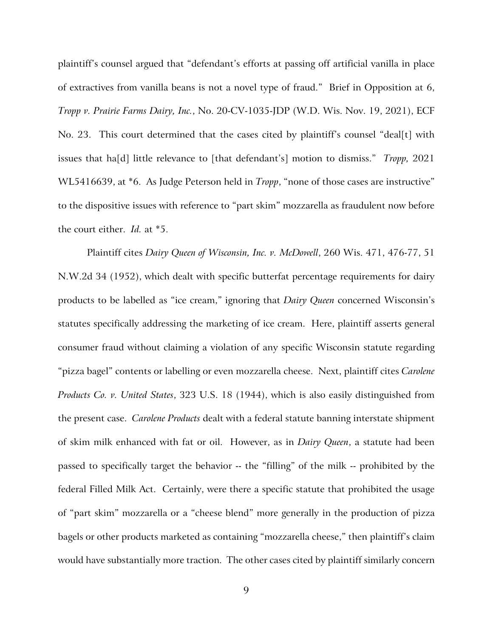plaintiff's counsel argued that "defendant's efforts at passing off artificial vanilla in place of extractives from vanilla beans is not a novel type of fraud." Brief in Opposition at 6, *Tropp v. Prairie Farms Dairy, Inc.*, No. 20-CV-1035-JDP (W.D. Wis. Nov. 19, 2021), ECF No. 23. This court determined that the cases cited by plaintiff's counsel "deal[t] with issues that ha[d] little relevance to [that defendant's] motion to dismiss." *Tropp,* 2021 WL5416639, at \*6. As Judge Peterson held in *Tropp*, "none of those cases are instructive" to the dispositive issues with reference to "part skim" mozzarella as fraudulent now before the court either. *Id.* at \*5.

Plaintiff cites *Dairy Queen of Wisconsin, Inc. v. McDowell*, 260 Wis. 471, 476-77, 51 N.W.2d 34 (1952), which dealt with specific butterfat percentage requirements for dairy products to be labelled as "ice cream," ignoring that *Dairy Queen* concerned Wisconsin's statutes specifically addressing the marketing of ice cream. Here, plaintiff asserts general consumer fraud without claiming a violation of any specific Wisconsin statute regarding "pizza bagel" contents or labelling or even mozzarella cheese. Next, plaintiff cites *Carolene Products Co. v. United States*, 323 U.S. 18 (1944), which is also easily distinguished from the present case. *Carolene Products* dealt with a federal statute banning interstate shipment of skim milk enhanced with fat or oil. However, as in *Dairy Queen*, a statute had been passed to specifically target the behavior -- the "filling" of the milk -- prohibited by the federal Filled Milk Act. Certainly, were there a specific statute that prohibited the usage of "part skim" mozzarella or a "cheese blend" more generally in the production of pizza bagels or other products marketed as containing "mozzarella cheese," then plaintiff's claim would have substantially more traction. The other cases cited by plaintiff similarly concern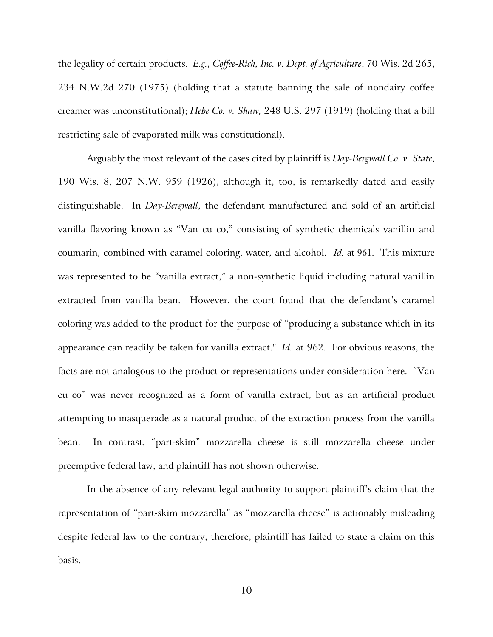the legality of certain products. *E.g., Coffee-Rich, Inc. v. Dept. of Agriculture*, 70 Wis. 2d 265, 234 N.W.2d 270 (1975) (holding that a statute banning the sale of nondairy coffee creamer was unconstitutional); *Hebe Co. v. Shaw,* 248 U.S. 297 (1919) (holding that a bill restricting sale of evaporated milk was constitutional).

Arguably the most relevant of the cases cited by plaintiff is *Day-Bergwall Co. v. State*, 190 Wis. 8, 207 N.W. 959 (1926), although it, too, is remarkedly dated and easily distinguishable. In *Day-Bergwall*, the defendant manufactured and sold of an artificial vanilla flavoring known as "Van cu co," consisting of synthetic chemicals vanillin and coumarin, combined with caramel coloring, water, and alcohol. *Id.* at 961. This mixture was represented to be "vanilla extract," a non-synthetic liquid including natural vanillin extracted from vanilla bean. However, the court found that the defendant's caramel coloring was added to the product for the purpose of "producing a substance which in its appearance can readily be taken for vanilla extract." *Id.* at 962. For obvious reasons, the facts are not analogous to the product or representations under consideration here. "Van cu co" was never recognized as a form of vanilla extract, but as an artificial product attempting to masquerade as a natural product of the extraction process from the vanilla bean. In contrast, "part-skim" mozzarella cheese is still mozzarella cheese under preemptive federal law, and plaintiff has not shown otherwise.

In the absence of any relevant legal authority to support plaintiff's claim that the representation of "part-skim mozzarella" as "mozzarella cheese" is actionably misleading despite federal law to the contrary, therefore, plaintiff has failed to state a claim on this basis.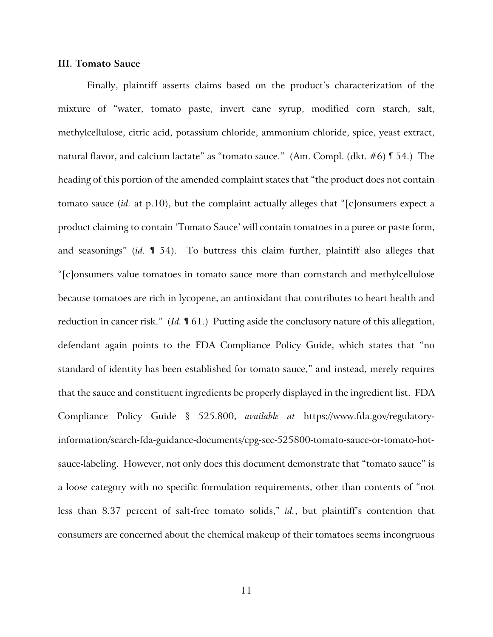#### **III. Tomato Sauce**

Finally, plaintiff asserts claims based on the product's characterization of the mixture of "water, tomato paste, invert cane syrup, modified corn starch, salt, methylcellulose, citric acid, potassium chloride, ammonium chloride, spice, yeast extract, natural flavor, and calcium lactate" as "tomato sauce." (Am. Compl. (dkt. #6) ¶ 54.) The heading of this portion of the amended complaint states that "the product does not contain tomato sauce (*id.* at p.10), but the complaint actually alleges that "[c]onsumers expect a product claiming to contain 'Tomato Sauce' will contain tomatoes in a puree or paste form, and seasonings" (*id.* ¶ 54). To buttress this claim further, plaintiff also alleges that "[c]onsumers value tomatoes in tomato sauce more than cornstarch and methylcellulose because tomatoes are rich in lycopene, an antioxidant that contributes to heart health and reduction in cancer risk." (*Id.* ¶ 61.) Putting aside the conclusory nature of this allegation, defendant again points to the FDA Compliance Policy Guide, which states that "no standard of identity has been established for tomato sauce," and instead, merely requires that the sauce and constituent ingredients be properly displayed in the ingredient list. FDA Compliance Policy Guide § 525.800, *available at* https://www.fda.gov/regulatoryinformation/search-fda-guidance-documents/cpg-sec-525800-tomato-sauce-or-tomato-hotsauce-labeling. However, not only does this document demonstrate that "tomato sauce" is a loose category with no specific formulation requirements, other than contents of "not less than 8.37 percent of salt-free tomato solids," *id.*, but plaintiff's contention that consumers are concerned about the chemical makeup of their tomatoes seems incongruous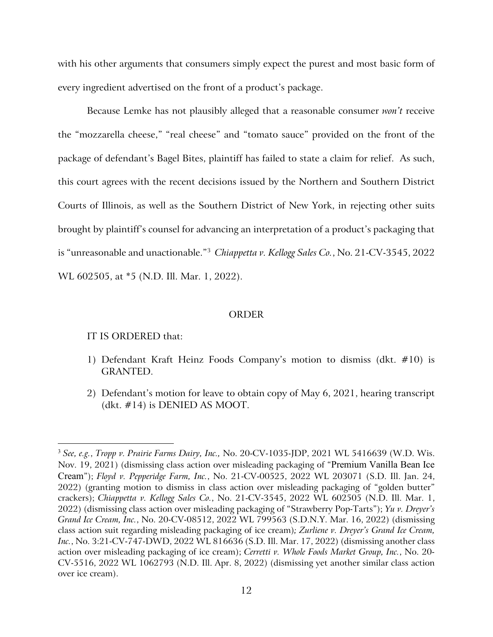with his other arguments that consumers simply expect the purest and most basic form of every ingredient advertised on the front of a product's package.

Because Lemke has not plausibly alleged that a reasonable consumer *won't* receive the "mozzarella cheese," "real cheese" and "tomato sauce" provided on the front of the package of defendant's Bagel Bites, plaintiff has failed to state a claim for relief. As such, this court agrees with the recent decisions issued by the Northern and Southern District Courts of Illinois, as well as the Southern District of New York, in rejecting other suits brought by plaintiff's counsel for advancing an interpretation of a product's packaging that is "unreasonable and unactionable."3 *Chiappetta v. Kellogg Sales Co.*, No. 21-CV-3545, 2022 WL 602505, at \*5 (N.D. Ill. Mar. 1, 2022).

#### **ORDER**

#### IT IS ORDERED that:

- 1) Defendant Kraft Heinz Foods Company's motion to dismiss (dkt. #10) is GRANTED.
- 2) Defendant's motion for leave to obtain copy of May 6, 2021, hearing transcript (dkt. #14) is DENIED AS MOOT.

<sup>3</sup> *See, e.g.*, *Tropp v. Prairie Farms Dairy, Inc.,* No. 20-CV-1035-JDP, 2021 WL 5416639 (W.D. Wis. Nov. 19, 2021) (dismissing class action over misleading packaging of "Premium Vanilla Bean Ice Cream"); *Floyd v. Pepperidge Farm, Inc.*, No. 21-CV-00525, 2022 WL 203071 (S.D. Ill. Jan. 24, 2022) (granting motion to dismiss in class action over misleading packaging of "golden butter" crackers); *Chiappetta v. Kellogg Sales Co.*, No. 21-CV-3545, 2022 WL 602505 (N.D. Ill. Mar. 1, 2022) (dismissing class action over misleading packaging of "Strawberry Pop-Tarts"); *Yu v. Dreyer's Grand Ice Cream, Inc.*, No. 20-CV-08512, 2022 WL 799563 (S.D.N.Y. Mar. 16, 2022) (dismissing class action suit regarding misleading packaging of ice cream)*; Zurliene v. Dreyer's Grand Ice Cream, Inc.*, No. 3:21-CV-747-DWD, 2022 WL 816636 (S.D. Ill. Mar. 17, 2022) (dismissing another class action over misleading packaging of ice cream); *Cerretti v. Whole Foods Market Group, Inc.*, No. 20- CV-5516, 2022 WL 1062793 (N.D. Ill. Apr. 8, 2022) (dismissing yet another similar class action over ice cream).